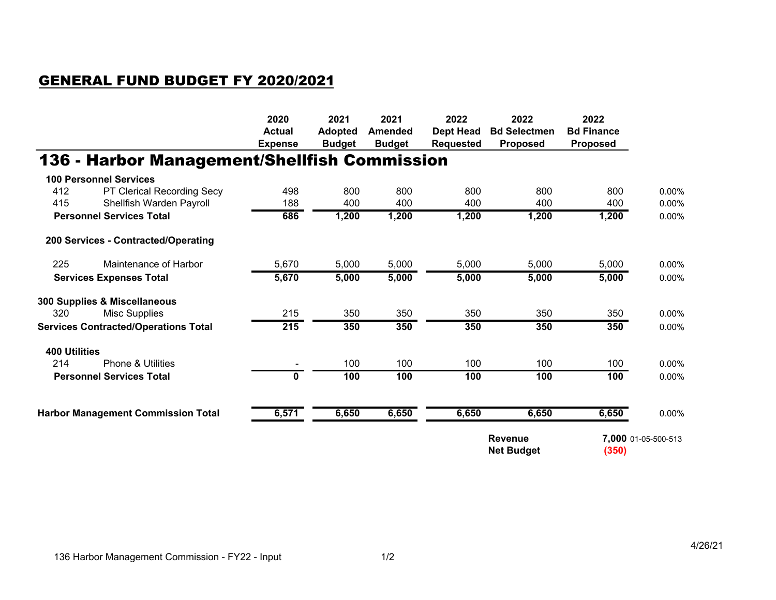## GENERAL FUND BUDGET FY 2020/2021

|                                             |                                              | 2020           | 2021           | 2021           | 2022             | 2022                                         | 2022              |                     |
|---------------------------------------------|----------------------------------------------|----------------|----------------|----------------|------------------|----------------------------------------------|-------------------|---------------------|
|                                             |                                              | <b>Actual</b>  | <b>Adopted</b> | <b>Amended</b> | <b>Dept Head</b> | <b>Bd Selectmen</b>                          | <b>Bd Finance</b> |                     |
|                                             |                                              | <b>Expense</b> | <b>Budget</b>  | <b>Budget</b>  | <b>Requested</b> | <b>Proposed</b>                              | <b>Proposed</b>   |                     |
|                                             | 136 - Harbor Management/Shellfish Commission |                |                |                |                  |                                              |                   |                     |
|                                             | <b>100 Personnel Services</b>                |                |                |                |                  |                                              |                   |                     |
| 412                                         | PT Clerical Recording Secy                   | 498            | 800            | 800            | 800              | 800                                          | 800               | 0.00%               |
| 415                                         | Shellfish Warden Payroll                     | 188            | 400            | 400            | 400              | 400                                          | 400               | 0.00%               |
|                                             | <b>Personnel Services Total</b>              | 686            | 1,200          | 1,200          | 1,200            | 1,200                                        | 1,200             | $0.00\%$            |
|                                             | 200 Services - Contracted/Operating          |                |                |                |                  |                                              |                   |                     |
| 225                                         | Maintenance of Harbor                        | 5,670          | 5,000          | 5,000          | 5,000            | 5,000                                        | 5,000             | 0.00%               |
| <b>Services Expenses Total</b>              |                                              | 5,670          | 5,000          | 5,000          | 5,000            | 5,000                                        | 5,000             | 0.00%               |
|                                             | 300 Supplies & Miscellaneous                 |                |                |                |                  |                                              |                   |                     |
| 320                                         | <b>Misc Supplies</b>                         | 215            | 350            | 350            | 350              | 350                                          | 350               | 0.00%               |
| <b>Services Contracted/Operations Total</b> |                                              | 215            | 350            | 350            | 350              | 350                                          | 350               | 0.00%               |
| <b>400 Utilities</b>                        |                                              |                |                |                |                  |                                              |                   |                     |
| 214                                         | <b>Phone &amp; Utilities</b>                 |                | 100            | 100            | 100              | 100                                          | 100               | 0.00%               |
| <b>Personnel Services Total</b>             |                                              | $\mathbf{0}$   | 100            | 100            | 100              | 100                                          | 100               | 0.00%               |
|                                             | <b>Harbor Management Commission Total</b>    | 6,571          | 6,650          | 6,650          | 6,650            | 6,650                                        | 6,650             | 0.00%               |
|                                             |                                              |                |                |                |                  |                                              |                   |                     |
|                                             |                                              |                |                |                |                  | <b>Revenue</b><br>(350)<br><b>Net Budget</b> |                   | 7,000 01-05-500-513 |